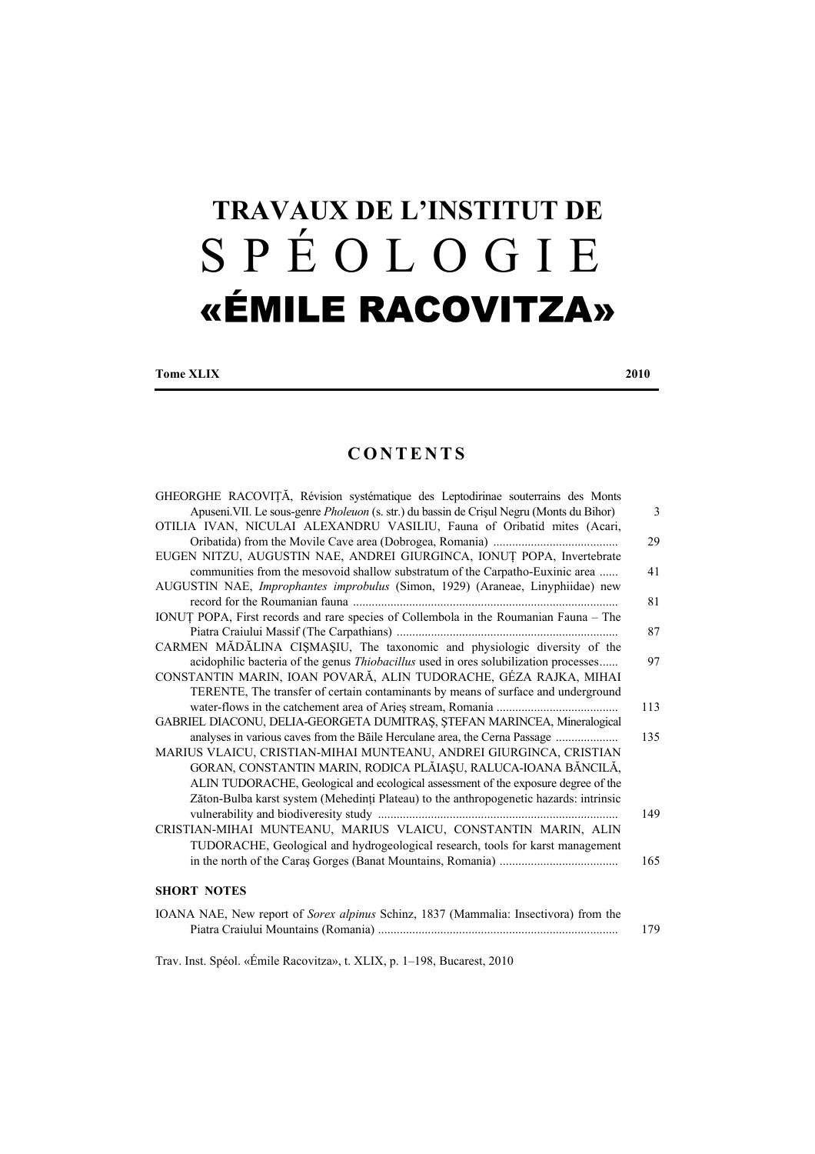## **TRAVAUX DE L'INSTITUT DE**  SPÉOLOGIE «ÉMILE RACOVITZA»

**Tome XLIX** 2010

## **CONTENTS**

| GHEORGHE RACOVIȚĂ, Révision systématique des Leptodirinae souterrains des Monts           |                |
|-------------------------------------------------------------------------------------------|----------------|
| Apuseni. VII. Le sous-genre Pholeuon (s. str.) du bassin de Crișul Negru (Monts du Bihor) | $\overline{3}$ |
| OTILIA IVAN, NICULAI ALEXANDRU VASILIU, Fauna of Oribatid mites (Acari,                   |                |
|                                                                                           | 29             |
| EUGEN NITZU, AUGUSTIN NAE, ANDREI GIURGINCA, IONUȚ POPA, Invertebrate                     |                |
| communities from the mesovoid shallow substratum of the Carpatho-Euxinic area             | 41             |
| AUGUSTIN NAE, Improphantes improbulus (Simon, 1929) (Araneae, Linyphiidae) new            |                |
|                                                                                           | 81             |
| IONUT POPA, First records and rare species of Collembola in the Roumanian Fauna - The     |                |
|                                                                                           | 87             |
| CARMEN MĂDĂLINA CIȘMAȘIU, The taxonomic and physiologic diversity of the                  |                |
| acidophilic bacteria of the genus Thiobacillus used in ores solubilization processes      | 97             |
| CONSTANTIN MARIN, IOAN POVARĂ, ALIN TUDORACHE, GÉZA RAJKA, MIHAI                          |                |
| TERENTE, The transfer of certain contaminants by means of surface and underground         |                |
|                                                                                           | 113            |
| GABRIEL DIACONU, DELIA-GEORGETA DUMITRAȘ, ȘTEFAN MARINCEA, Mineralogical                  |                |
| analyses in various caves from the Băile Herculane area, the Cerna Passage                | 135            |
| MARIUS VLAICU, CRISTIAN-MIHAI MUNTEANU, ANDREI GIURGINCA, CRISTIAN                        |                |
| GORAN, CONSTANTIN MARIN, RODICA PLĂIAȘU, RALUCA-IOANA BĂNCILĂ,                            |                |
| ALIN TUDORACHE, Geological and ecological assessment of the exposure degree of the        |                |
| Zăton-Bulba karst system (Mehedinți Plateau) to the anthropogenetic hazards: intrinsic    |                |
|                                                                                           | 149            |
| CRISTIAN-MIHAI MUNTEANU, MARIUS VLAICU, CONSTANTIN MARIN, ALIN                            |                |
| TUDORACHE, Geological and hydrogeological research, tools for karst management            |                |
|                                                                                           | 165            |
|                                                                                           |                |
| <b>SHORT NOTES</b>                                                                        |                |
| IOANA NAE, New report of Sorex alpinus Schinz, 1837 (Mammalia: Insectivora) from the      |                |
|                                                                                           | 179            |
|                                                                                           |                |

Trav. Inst. Spéol. «Émile Racovitza», t. XLIX, p. 1–198, Bucarest, 2010